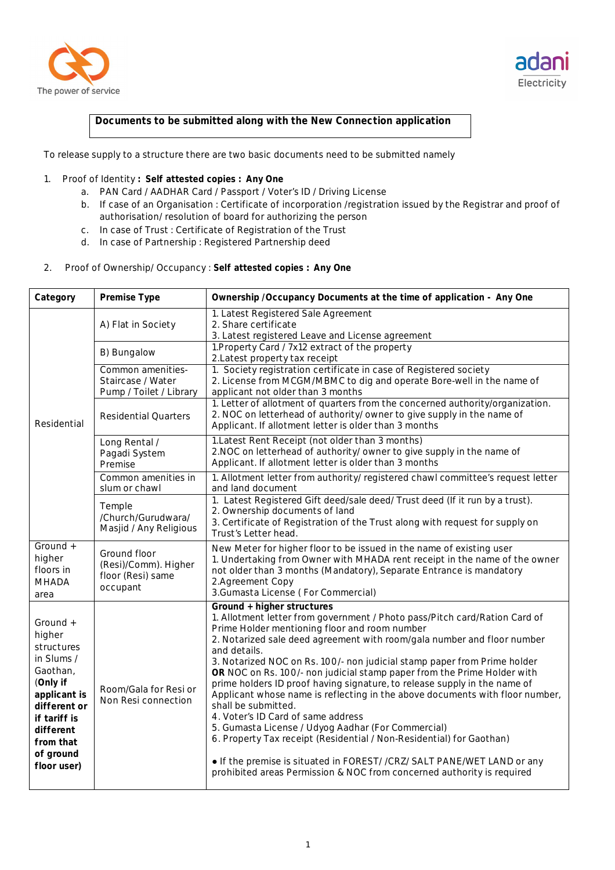



## **Documents to be submitted along with the New Connection application**

To release supply to a structure there are two basic documents need to be submitted namely

## 1. Proof of Identity **: Self attested copies : Any One**

- a. PAN Card / AADHAR Card / Passport / Voter's ID / Driving License
- b. If case of an Organisation : Certificate of incorporation /registration issued by the Registrar and proof of authorisation/ resolution of board for authorizing the person
- c. In case of Trust : Certificate of Registration of the Trust
- d. In case of Partnership : Registered Partnership deed
- 2. Proof of Ownership/ Occupancy : **Self attested copies : Any One**

| Category                                                                                                                                                                     | Premise Type                                                          | Ownership / Occupancy Documents at the time of application - Any One                                                                                                                                                                                                                                                                                                                                                                                                                                                                                                                                                                                                                                                                                                                                                                                                                                                    |
|------------------------------------------------------------------------------------------------------------------------------------------------------------------------------|-----------------------------------------------------------------------|-------------------------------------------------------------------------------------------------------------------------------------------------------------------------------------------------------------------------------------------------------------------------------------------------------------------------------------------------------------------------------------------------------------------------------------------------------------------------------------------------------------------------------------------------------------------------------------------------------------------------------------------------------------------------------------------------------------------------------------------------------------------------------------------------------------------------------------------------------------------------------------------------------------------------|
| Residential                                                                                                                                                                  | A) Flat in Society                                                    | 1. Latest Registered Sale Agreement<br>2. Share certificate<br>3. Latest registered Leave and License agreement                                                                                                                                                                                                                                                                                                                                                                                                                                                                                                                                                                                                                                                                                                                                                                                                         |
|                                                                                                                                                                              | B) Bungalow                                                           | 1. Property Card / 7x12 extract of the property<br>2. Latest property tax receipt                                                                                                                                                                                                                                                                                                                                                                                                                                                                                                                                                                                                                                                                                                                                                                                                                                       |
|                                                                                                                                                                              | Common amenities-<br>Staircase / Water<br>Pump / Toilet / Library     | 1. Society registration certificate in case of Registered society<br>2. License from MCGM/MBMC to dig and operate Bore-well in the name of<br>applicant not older than 3 months                                                                                                                                                                                                                                                                                                                                                                                                                                                                                                                                                                                                                                                                                                                                         |
|                                                                                                                                                                              | <b>Residential Quarters</b>                                           | 1. Letter of allotment of quarters from the concerned authority/organization.<br>2. NOC on letterhead of authority/ owner to give supply in the name of<br>Applicant. If allotment letter is older than 3 months                                                                                                                                                                                                                                                                                                                                                                                                                                                                                                                                                                                                                                                                                                        |
|                                                                                                                                                                              | Long Rental /<br>Pagadi System<br>Premise                             | 1. Latest Rent Receipt (not older than 3 months)<br>2. NOC on letterhead of authority/ owner to give supply in the name of<br>Applicant. If allotment letter is older than 3 months                                                                                                                                                                                                                                                                                                                                                                                                                                                                                                                                                                                                                                                                                                                                     |
|                                                                                                                                                                              | Common amenities in<br>slum or chawl                                  | 1. Allotment letter from authority/ registered chawl committee's request letter<br>and land document                                                                                                                                                                                                                                                                                                                                                                                                                                                                                                                                                                                                                                                                                                                                                                                                                    |
|                                                                                                                                                                              | Temple<br>/Church/Gurudwara/<br>Masjid / Any Religious                | 1. Latest Registered Gift deed/sale deed/Trust deed (If it run by a trust).<br>2. Ownership documents of land<br>3. Certificate of Registration of the Trust along with request for supply on<br>Trust's Letter head.                                                                                                                                                                                                                                                                                                                                                                                                                                                                                                                                                                                                                                                                                                   |
| Ground +<br>higher<br>floors in<br><b>MHADA</b><br>area                                                                                                                      | Ground floor<br>(Resi)/Comm). Higher<br>floor (Resi) same<br>occupant | New Meter for higher floor to be issued in the name of existing user<br>1. Undertaking from Owner with MHADA rent receipt in the name of the owner<br>not older than 3 months (Mandatory), Separate Entrance is mandatory<br>2.Agreement Copy<br>3. Gumasta License (For Commercial)                                                                                                                                                                                                                                                                                                                                                                                                                                                                                                                                                                                                                                    |
| Ground +<br>higher<br>structures<br>in Slums /<br>Gaothan,<br>(Only if<br>applicant is<br>different or<br>if tariff is<br>different<br>from that<br>of ground<br>floor user) | Room/Gala for Resi or<br>Non Resi connection                          | Ground + higher structures<br>1. Allotment letter from government / Photo pass/Pitch card/Ration Card of<br>Prime Holder mentioning floor and room number<br>2. Notarized sale deed agreement with room/gala number and floor number<br>and details.<br>3. Notarized NOC on Rs. 100/- non judicial stamp paper from Prime holder<br>OR NOC on Rs. 100/- non judicial stamp paper from the Prime Holder with<br>prime holders ID proof having signature, to release supply in the name of<br>Applicant whose name is reflecting in the above documents with floor number,<br>shall be submitted.<br>4. Voter's ID Card of same address<br>5. Gumasta License / Udyog Aadhar (For Commercial)<br>6. Property Tax receipt (Residential / Non-Residential) for Gaothan)<br>. If the premise is situated in FOREST//CRZ/ SALT PANE/WET LAND or any<br>prohibited areas Permission & NOC from concerned authority is required |